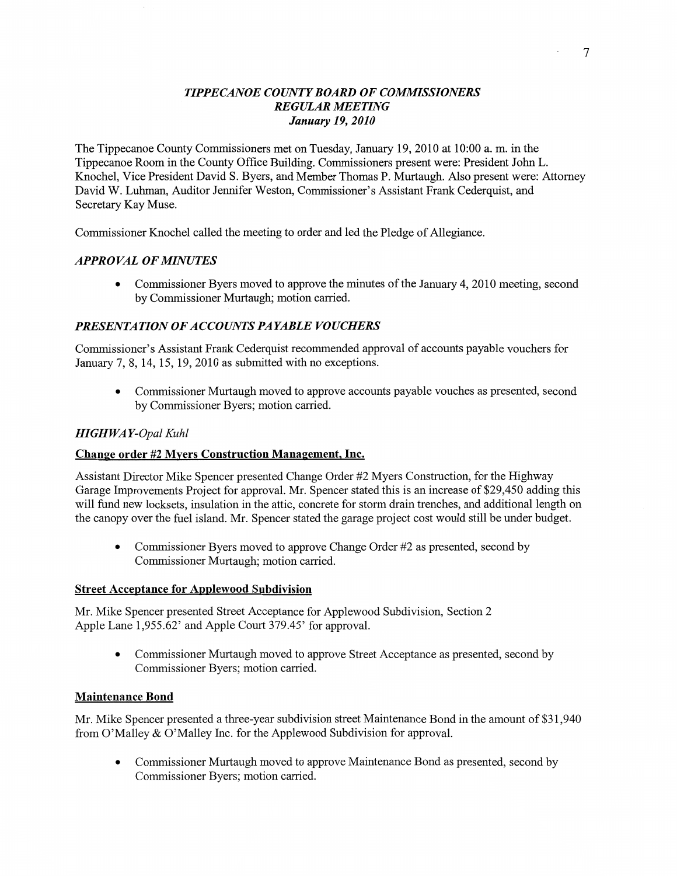## **TIPPECANOE COUNTY BOARD OF COMMISSIONERS** *REGULAR MEETHVG January* 19, *2010*

The Tippecanoe County Commissioners met on Tuesday, January 19, 2010 at **10:00** a. m. in the Tippecanoe Room in the County Office Building. Commissioners present were: President John L. Knochel, **Vice** President David S. Byers, and Member Thomas P. Munaugh. **Also** present were: Attorney David W. **Luhman,** Auditor Jennifer Weston, Commissioner's Assistant Frank Cederquist, and Secretary Kay Muse.

Commissioner Knochel called the meeting to order and led the Pledge of Allegiance.

## *APPROVAL* OF *[MINUTES*

**0** Commissioner Byers **moved** to approve the **minutes** of the January 4, 2010 **meeting,** second by Commissioner Murtaugh; motion carried.

# *PRESENTATION* OF *ACCOUNTS PAYABLE VOUCHERS*

Commissioner's Assistant Frank Cederquist recommended approval of **accounts** payable **vouchers** for January 7, 8, 14, 15, 19, 2010 as submitted with no exceptions.

**0** Commissioner Muflaugh moved to approve accounts payable vouches as presented, second by Commissioner Byers; motion carried.

#### *HIGH* WA *Y-Opal Kuhl*

#### Change **order** #2 **Myers Construction Management,** Inc.

Assistant Director **Mike** Spencer presented Change Order #2 Myers Construction, for the Highway Garage Improvements Project for approval. Mr. Spencer stated this is an increase of \$29,450 **adding** this will **fund** new locksets, insulation in the attic, concrete for storm drain trenches, and additional length on the canopy over the fuel island. Mr. Spencer **stated** the garage project cost would still be under budget.

**0** Commissioner Byers moved to approve Change Order #2 as presented, second by Commissioner Murtaugh; motion cam'ed.

#### **Street Acceptance** for **Applewood Subdivision**

Mr. Mike Spencer presented Street Acceptance for Applcwood Subdivision, Section **2**  Apple Lane **1,955.62'** and Apple Court 379.45' for approval.

• Commissioner Murtaugh moved to approve Street Acceptance as presented, second by Commissioner Byers; motion carried.

#### **Maintenance Bond**

Mr. Mike Spencer presented a three-year subdivision street Maintenance Bond in the amount of \$31,940 from O'Malley & O'Malley Inc. for the Applewood Subdivision for approval.

**0 Commissioner** Murtaugh moved to approve Maintenance Bond as presented, second by Commissioner Byers; **motion** carried.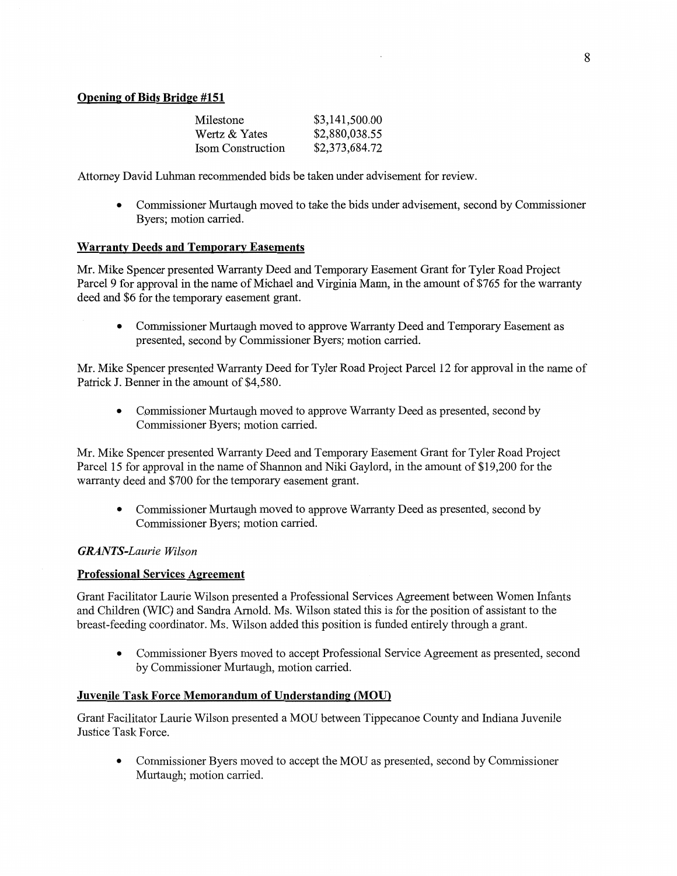| Milestone                | \$3,141,500.00 |
|--------------------------|----------------|
| Wertz & Yates            | \$2,880,038.55 |
| <b>Isom Construction</b> | \$2,373,684.72 |

Attorney David Luhman recommended bids be taken under advisement for review.

**0** Commissioner Murtaugh moved to take the bids under advisement, second by Commissioner Byers; motion carried.

## **Warranty Deeds and Temporary Easements**

Mr. Mike Spencer presented Warranty Deed and Temporary Easement Grant for Tyler Road Project Parcel 9 for approval in the name of Michael and Virginia Mann, in the amount of \$765 for the warranty deed and \$6 for the temporary easement **grant.** 

**• Commissioner Murtaugh moved to approve Warranty Deed and Temporary Easement as** presented, second by Commissioner Byers; **motion** carried.

Mr. Mike Spencer presented Warranty Deed for Tyler Road Project Parcel 12 for approval in the name of Patrick J. Benner in the **amount** of \$4,580.

**0** Commissioner Murtaugh moved to approve Warranty Deed as presented, **second** by Commissioner Byers; **motion** cam'ed.

Mr. Mike Spencer presented Warranty Deed and Temporary Easement Grant for Tyler Road Project Parcel 15 for approval in the name of **Shannon** and Niki Gaylord, in the amount of \$19,200 for the warranty deed and \$700 for the temporary easement grant.

**0** Commissioner Murtaugh moved to approve Warranty Deed as presented, second by Commissioner Byers; motion carried.

#### *GRANTS-Laurie Wilson*

#### **Professional** Services **Agreement**

Grant Facilitator Laurie Wilson presented **a** Professional Services Agreement between Women **Infants**  and Children (WIC) and Sandra Arnold. Ms. Wilson stated this is for the position of assistant to the breast-feeding **coordinator.** Ms. Wilson added **this** position is funded entirely through a grant.

**0** Commissioner Byers moved to accept Professional Service Agreement as presented, second by Commissioner Murtaugh, motion carried.

#### **Juvenile Task Force Memorandum** of **Understanding (M09)**

Grant Facilitator Laurie Wilson presented a MOU between Tippecanoe County and Indiana Juvenile Justice **Task** Force.

**0** Commissioner Byers moved to accept the MOU as presented, second by Commissioner Murtaugh; motion carried.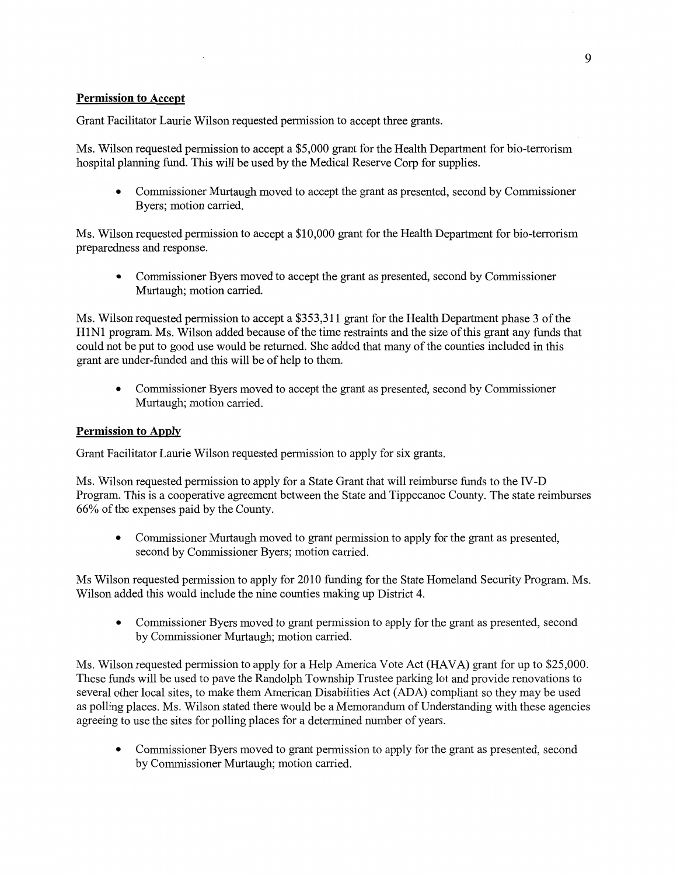# **Permission** to **Accept**

Grant Facilitator Laurie Wilson requested permission to accept three grants.

Ms. **Wilson** requested **permission** to accept a \$5,000 **grant** for the Health Department for bio-terrorism hospital planning fimd. **This** will be used by the Medical Reserve Corp for supplies.

• Commissioner Murtaugh moved to accept the grant as presented, second by Commissioner Byers; motion carried.

Ms. **Wilson** requested **permission** to accept **a** \$10,000 grant for the **Health** Department for bio-terrorism preparedness and **response.** 

**0** Commissioner Byers moved to accept the grant as presented, second by Commissioner Murtaugh; motion carried.

Ms. **Wilson** requested permission to **accept** a \$353,311 grant for the **Health Department** phase 3 of the H1N1 program. Ms. Wilson added because of the time restraints and the size of **this** grant any **funds that**  could not be put to good use would be returned. She added that many of the counties included in this grant are under-funded and this will be of **help** to them.

**0** Commissioner Byers moved to accept the grant as presented, second by Commissioner Murtaugh; **motion** carried.

# **Permission to Apply**

Grant **Facilitator** Laurie Wilson requested permission to apply for six grants.

Ms. **Wilson** requested permission to apply for **a** State Grant that will reimburse fimds to the IV-D Program. This is a cooperative agreement between the State and Tippecanoe County. The state reimburses 66% of the **expenses** paid by the County.

**0** Commissioner **Murtaugh moved** to grant permission to apply for the grant as presented, second by Commissioner Byers; motion carried.

Ms Wilson requested permission to apply for 2010 funding for the **State** Homeland Security Program. Ms. Wilson added this would include the nine **counties** making up District 4.

**0** Commissioner Byers moved to grant permission to apply for the grant as presented, second by Commissioner Murtaugh; motion cam'ed.

Ms. Wilson requested permission to apply for a Help America Vote Act **(HAVA)** grant for up to \$25,000. These funds will be used to pave the Randolph Township Trustee parking lot and provide renovations to several other local sites, to make **them** American Disabilities Act (ADA) compliant so they may be used as polling places. Ms. Wilson stated there would be **a** Memorandum of Understanding with these agencies agreeing to use the sites for polling places for a determined number of years.

**0** Commissioner Byers moved to grant permission to apply for the grant as presented, second by Commissioner Murtaugh; motion carried.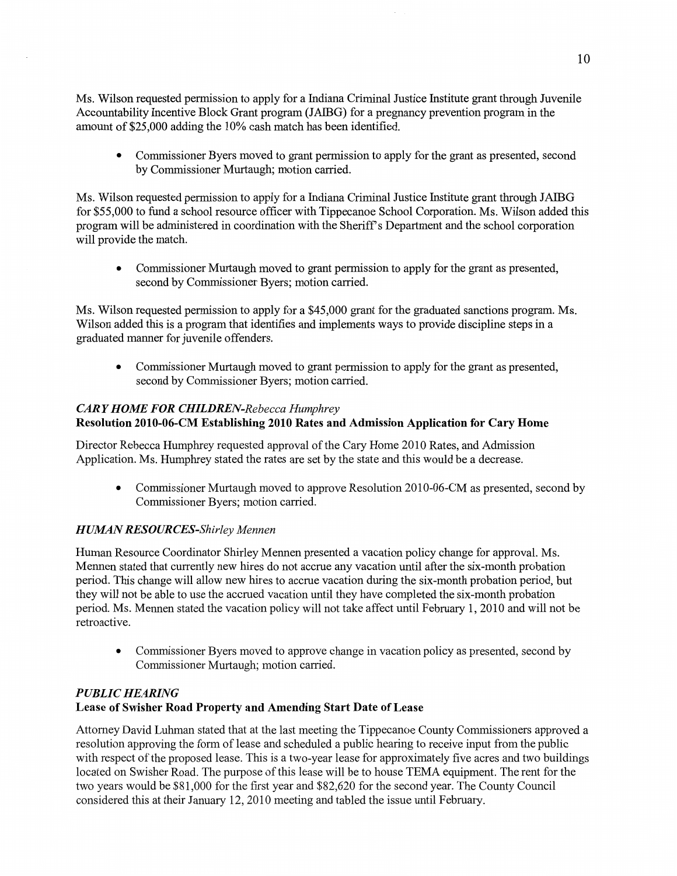Ms. Wilson requested permission to apply for **a** Indiana Criminal Justice **Institute** gran<sup>t</sup>**through** Juvenile Accountability Incentive Block Grant program (JAIBG) for a pregnancy prevention program in the amount of \$25,000 adding the 10% cash match has been identified.

**0** Commissioner Byers moved to grant permission to apply for the **grant** as presented, second by Commissioner Murtaugh; motion carried.

Ms. Wilson requested permission to apply for a Indiana Criminal Justice Institute grant through JAIBG for \$55,000 to flmd **a** school resource officer with Tippecanoe School **Corporation.** Ms. **Wilson** added **this**  program will be administered in **coordination** with the **Sheriff** *3* **Department** and the school corporation will provide the match.

**0 Commissioner** Murtaugh moved to grant **permission** to apply for the **grant** as presented, **second** by **Commissioner** Byers; **motion** carried.

Ms. Wilson requested permission to apply for a \$45,000 grant for the graduated sanctions program. Ms. Wilson added **this** is a program that identifies and implements ways to provide discipline steps in **<sup>a</sup>** graduated manner for **juvenile** offenders.

**0** Commissioner Murtaugh moved to grant permission to apply for the grant as presented, second by Commissioner Byers; motion carried.

# CAR *Y H* DIME FOR *CHILDREN-Rebecca Humphrey*

# **Resolution 2010-06-CM Establishing 2010 Rates** and **Admission Application** for **Cary Home**

Director Rebecca Humphrey requested approval of the Cary Home 2010 Rates, and **Admission**  Application. Ms. Humphrey stated the rates are set by the **state** and this would be **a** decrease.

**0** Commissioner Munaugh moved to approve Resolution 2010-06-CM as presented, **second** by Commissioner Byers; motion carried.

# *HUMAN RESOURCES-Shirley Mennen*

Human Resource Coordinator Shirley **Mennen** presented a vacation policy change for approval. Ms. Mennen stated that currently new **hires** do not accrue any vacation until after the **six-month** probation period. This change will allow new hires to accrue vacation during the **six-month** probation period, but they will not be able to use the accrued vacation until they **have** completed the six-month probation period. Ms. **Mennen** stated the vacation policy will not take affect until February 1, 2010 and will not be retroactive.

• Commissioner Byers moved to approve change in vacation policy as presented, second by Commissioner Murtaugh; motion carried.

# *PUBLIC HEARING*  **Lease** of **Swisher Road Property** and **Amending Start Date** of **Lease**

Attorney David **Luhman** stated that at the last meeting the Tippecanoe County **Commissioners** approved <sup>a</sup> resolution approving the form of lease and scheduled a public hearing to receive input from the public with respect of the proposed lease. **This** is a two-year lease for approximately five acres and two buildings located on **Swisher** Road. The purpose of this lease will be to house TEMA equipment. The rent for the two years would be \$81,000 for the first year and \$82,620 for the second year. The County Council considered **this** at their January 12, 2010 meeting and tabled the issue until February.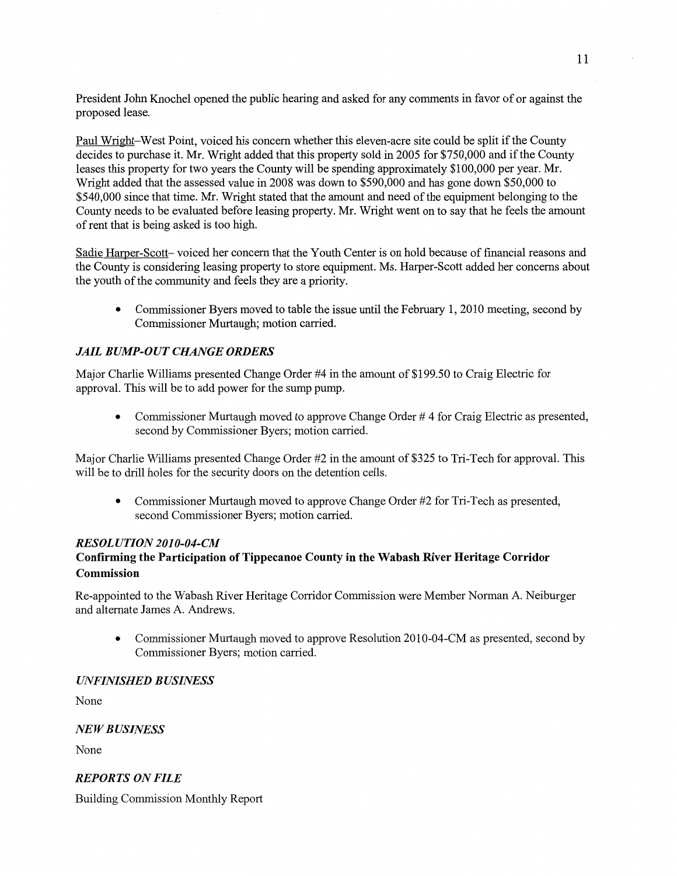President John Knochel opened the public hearing and asked for any **comments** in **favor** of or against the proposed lease.

Paul Wright—West **Point,** voiced his concern whether **this** eleven-acre site could be split if the County decides to **purchase** it. Mr. Wright added that **this property** sold in 2005 for \$750,000 and if the County leases this property for two years the County will be spending approximately \$100,000 per year. Mr. Wright added that the assessed value in 2008 was down to \$590,000 and has gone down \$50,000 to \$540,000 since **that** time. Mr. Wright stated **that** the amount and need of the equipment belonging to the County **needs** to be evaluated before leasing property. Mr. Wright went on to say **that** he feels the **amount**  of rent **that** is **being** asked is too high.

Sadie Ha\_rper-Scott— voiced her concern **that** the **Youth** Center is on **hold** because of financial reasons and the County is considering leasing property to store equipment. Ms. Harper-Scott added her concerns about the youth of the community and feels they are a priority.

**0** Commissioner Byers moved to table the **issue until** the February 1, 2010 **meeting, second** by Commissioner Murtaugh; motion carried.

# *JAIL BUMP-OUT CHANGE ORDERS*

Major Charlie Williams presented Change Order #4 in the amount of \$199.50 to Craig Electric for approval. This will be to add power for the sump pump.

• Commissioner Murtaugh moved to approve Change Order #4 for Craig Electric as presented, second by Commissioner Byers; motion carried.

Major Charlie Williams presented Change Order #2 in the amount of \$325 to Tri-Tech for approval. **This**  will be to drill holes for the security doors on the detention **cells.** 

**0** Commissioner **Murtaugh moved** to approve Change Order #2 for Tri-Tech as presented, second Commissioner Byers; motion carried.

# *RESOL UTION 2010-04-CM*

# **Confirming** the **Participation** of **Tippecanoe County** in the **Wabash River Heritage Corridor Commission**

Re-appointed to the Wabash River Heritage Corridor Commission were Member Norman A. Neiburger and alternate James A. Andrews.

**0** Commissioner **Murtaugh** moved to approve Resolution 2010-04-CM as presented, second by Commissioner Byers; motion carried.

# *UNFINISHED B USINESS*

None

# NE *W BUSINESS*

None

# *REPORTS* ON *FILE*

Building Commission Monthly Report